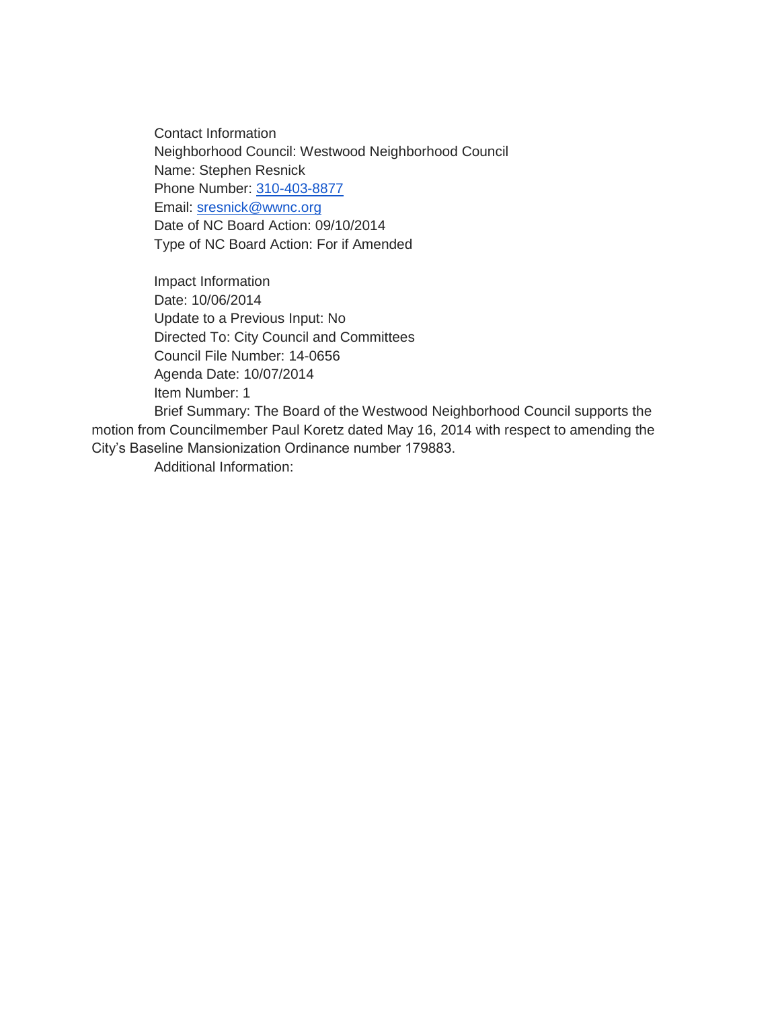Contact Information Neighborhood Council: Westwood Neighborhood Council Name: Stephen Resnick Phone Number: [310-403-8877](tel:310-403-8877) Email: [sresnick@wwnc.org](mailto:sresnick@wwnc.org) Date of NC Board Action: 09/10/2014 Type of NC Board Action: For if Amended

Impact Information Date: 10/06/2014 Update to a Previous Input: No Directed To: City Council and Committees Council File Number: 14-0656 Agenda Date: 10/07/2014 Item Number: 1

Brief Summary: The Board of the Westwood Neighborhood Council supports the motion from Councilmember Paul Koretz dated May 16, 2014 with respect to amending the City's Baseline Mansionization Ordinance number 179883.

Additional Information: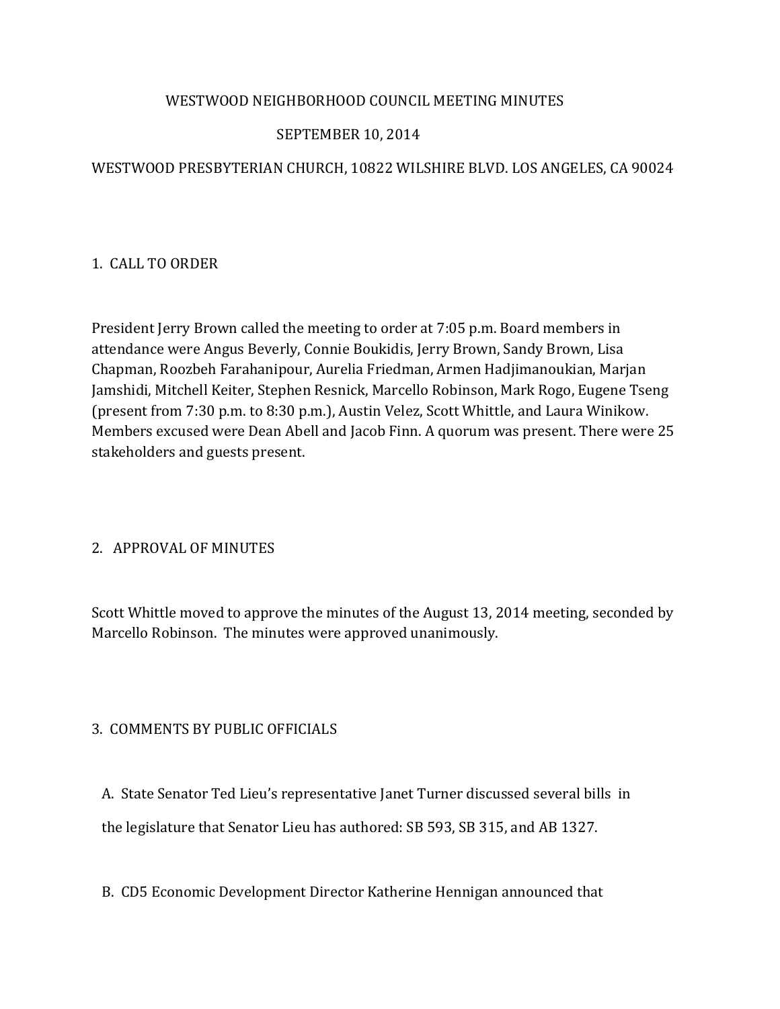## WESTWOOD NEIGHBORHOOD COUNCIL MEETING MINUTES

# SEPTEMBER 10, 2014

# WESTWOOD PRESBYTERIAN CHURCH, 10822 WILSHIRE BLVD. LOS ANGELES, CA 90024

## 1. CALL TO ORDER

President Jerry Brown called the meeting to order at 7:05 p.m. Board members in attendance were Angus Beverly, Connie Boukidis, Jerry Brown, Sandy Brown, Lisa Chapman, Roozbeh Farahanipour, Aurelia Friedman, Armen Hadjimanoukian, Marjan Jamshidi, Mitchell Keiter, Stephen Resnick, Marcello Robinson, Mark Rogo, Eugene Tseng (present from 7:30 p.m. to 8:30 p.m.), Austin Velez, Scott Whittle, and Laura Winikow. Members excused were Dean Abell and Jacob Finn. A quorum was present. There were 25 stakeholders and guests present.

## 2. APPROVAL OF MINUTES

Scott Whittle moved to approve the minutes of the August 13, 2014 meeting, seconded by Marcello Robinson. The minutes were approved unanimously.

# 3. COMMENTS BY PUBLIC OFFICIALS

A. State Senator Ted Lieu's representative Janet Turner discussed several bills in

the legislature that Senator Lieu has authored: SB 593, SB 315, and AB 1327.

B. CD5 Economic Development Director Katherine Hennigan announced that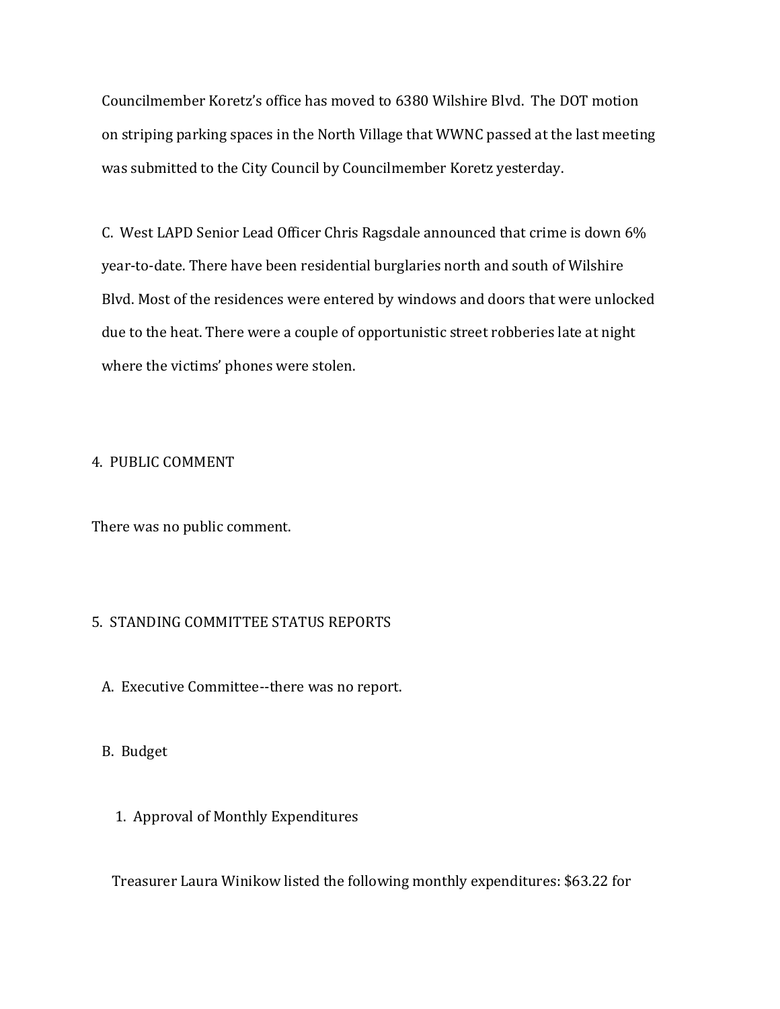Councilmember Koretz's office has moved to 6380 Wilshire Blvd. The DOT motion on striping parking spaces in the North Village that WWNC passed at the last meeting was submitted to the City Council by Councilmember Koretz yesterday.

 C. West LAPD Senior Lead Officer Chris Ragsdale announced that crime is down 6% year-to-date. There have been residential burglaries north and south of Wilshire Blvd. Most of the residences were entered by windows and doors that were unlocked due to the heat. There were a couple of opportunistic street robberies late at night where the victims' phones were stolen.

## 4. PUBLIC COMMENT

There was no public comment.

## 5. STANDING COMMITTEE STATUS REPORTS

A. Executive Committee--there was no report.

#### B. Budget

1. Approval of Monthly Expenditures

Treasurer Laura Winikow listed the following monthly expenditures: \$63.22 for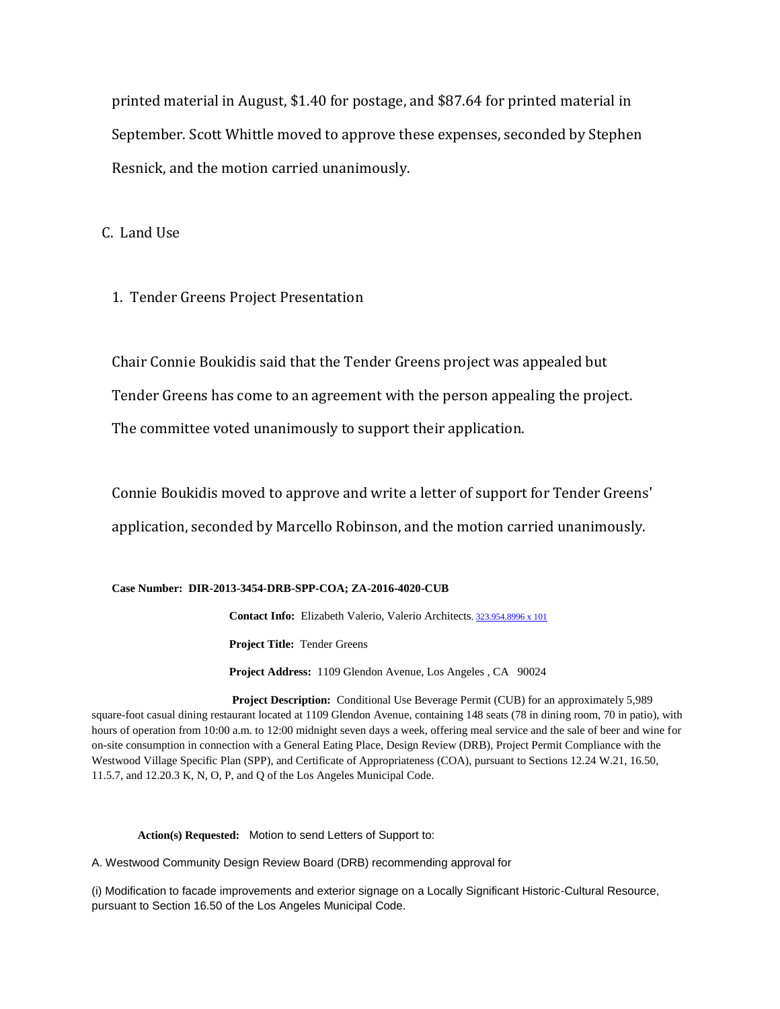printed material in August, \$1.40 for postage, and \$87.64 for printed material in September. Scott Whittle moved to approve these expenses, seconded by Stephen Resnick, and the motion carried unanimously.

C. Land Use

1. Tender Greens Project Presentation

 Chair Connie Boukidis said that the Tender Greens project was appealed but Tender Greens has come to an agreement with the person appealing the project. The committee voted unanimously to support their application.

 Connie Boukidis moved to approve and write a letter of support for Tender Greens' application, seconded by Marcello Robinson, and the motion carried unanimously.

#### **Case Number: DIR-2013-3454-DRB-SPP-COA; ZA-2016-4020-CUB**

 **Contact Info:** Elizabeth Valerio, Valerio Architects, 323.954.8996 x 101  **Project Title:** Tender Greens **Project Address:** 1109 Glendon Avenue, Los Angeles , CA 90024

**Project Description:** Conditional Use Beverage Permit (CUB) for an approximately 5,989 square-foot casual dining restaurant located at 1109 Glendon Avenue, containing 148 seats (78 in dining room, 70 in patio), with hours of operation from 10:00 a.m. to 12:00 midnight seven days a week, offering meal service and the sale of beer and wine for on-site consumption in connection with a General Eating Place, Design Review (DRB), Project Permit Compliance with the Westwood Village Specific Plan (SPP), and Certificate of Appropriateness (COA), pursuant to Sections 12.24 W.21, 16.50, 11.5.7, and 12.20.3 K, N, O, P, and Q of the Los Angeles Municipal Code.

 **Action(s) Requested:** Motion to send Letters of Support to:

A. Westwood Community Design Review Board (DRB) recommending approval for

(i) Modification to facade improvements and exterior signage on a Locally Significant Historic-Cultural Resource, pursuant to Section 16.50 of the Los Angeles Municipal Code.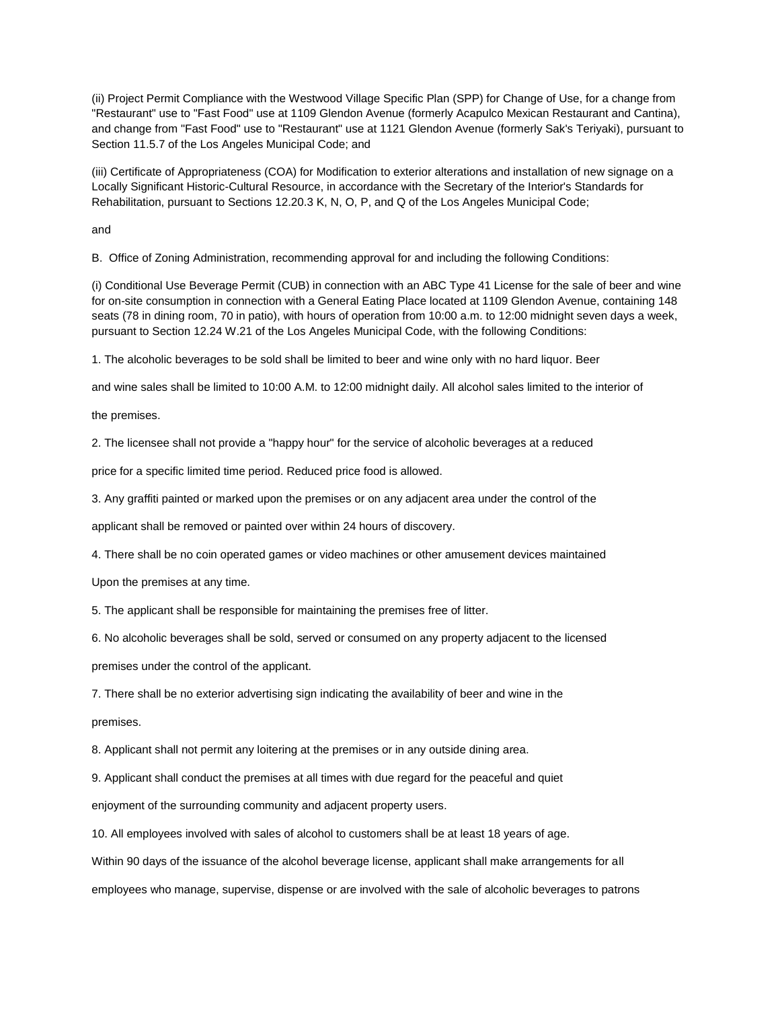(ii) Project Permit Compliance with the Westwood Village Specific Plan (SPP) for Change of Use, for a change from "Restaurant" use to "Fast Food" use at 1109 Glendon Avenue (formerly Acapulco Mexican Restaurant and Cantina), and change from "Fast Food" use to "Restaurant" use at 1121 Glendon Avenue (formerly Sak's Teriyaki), pursuant to Section 11.5.7 of the Los Angeles Municipal Code; and

(iii) Certificate of Appropriateness (COA) for Modification to exterior alterations and installation of new signage on a Locally Significant Historic-Cultural Resource, in accordance with the Secretary of the Interior's Standards for Rehabilitation, pursuant to Sections 12.20.3 K, N, O, P, and Q of the Los Angeles Municipal Code;

and

B. Office of Zoning Administration, recommending approval for and including the following Conditions:

(i) Conditional Use Beverage Permit (CUB) in connection with an ABC Type 41 License for the sale of beer and wine for on-site consumption in connection with a General Eating Place located at 1109 Glendon Avenue, containing 148 seats (78 in dining room, 70 in patio), with hours of operation from 10:00 a.m. to 12:00 midnight seven days a week, pursuant to Section 12.24 W.21 of the Los Angeles Municipal Code, with the following Conditions:

1. The alcoholic beverages to be sold shall be limited to beer and wine only with no hard liquor. Beer

and wine sales shall be limited to 10:00 A.M. to 12:00 midnight daily. All alcohol sales limited to the interior of

the premises.

2. The licensee shall not provide a "happy hour" for the service of alcoholic beverages at a reduced

price for a specific limited time period. Reduced price food is allowed.

3. Any graffiti painted or marked upon the premises or on any adjacent area under the control of the

applicant shall be removed or painted over within 24 hours of discovery.

4. There shall be no coin operated games or video machines or other amusement devices maintained

Upon the premises at any time.

5. The applicant shall be responsible for maintaining the premises free of litter.

6. No alcoholic beverages shall be sold, served or consumed on any property adjacent to the licensed

premises under the control of the applicant.

7. There shall be no exterior advertising sign indicating the availability of beer and wine in the

premises.

8. Applicant shall not permit any loitering at the premises or in any outside dining area.

9. Applicant shall conduct the premises at all times with due regard for the peaceful and quiet

enjoyment of the surrounding community and adjacent property users.

10. All employees involved with sales of alcohol to customers shall be at least 18 years of age.

Within 90 days of the issuance of the alcohol beverage license, applicant shall make arrangements for all

employees who manage, supervise, dispense or are involved with the sale of alcoholic beverages to patrons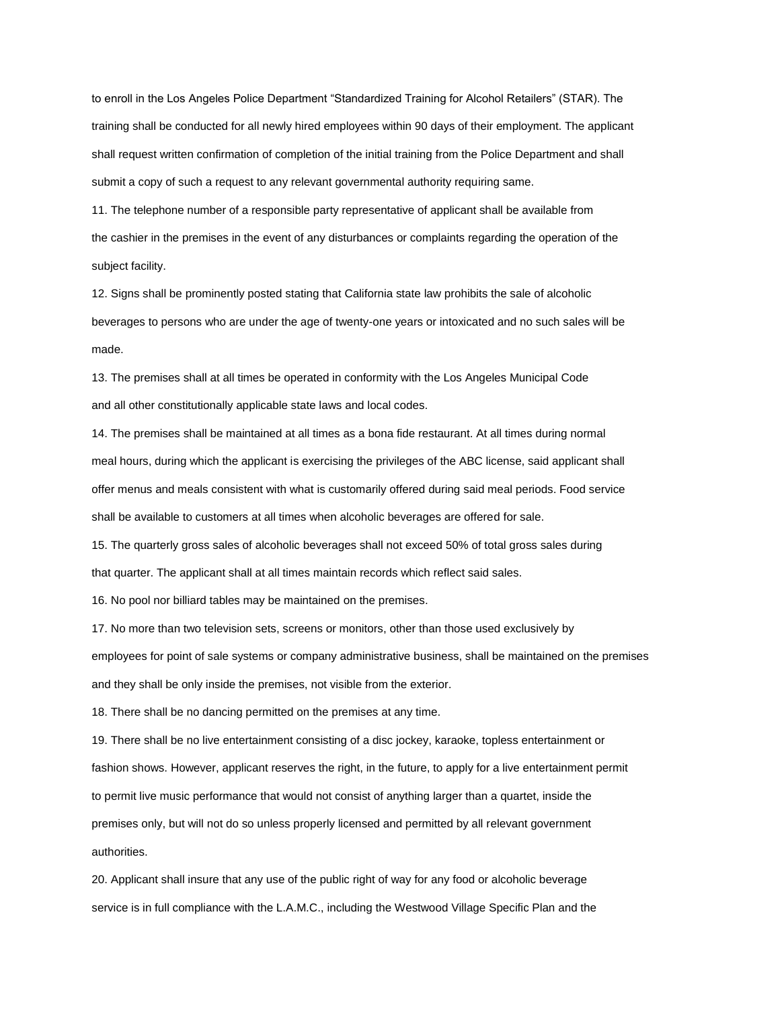to enroll in the Los Angeles Police Department "Standardized Training for Alcohol Retailers" (STAR). The training shall be conducted for all newly hired employees within 90 days of their employment. The applicant shall request written confirmation of completion of the initial training from the Police Department and shall submit a copy of such a request to any relevant governmental authority requiring same.

11. The telephone number of a responsible party representative of applicant shall be available from the cashier in the premises in the event of any disturbances or complaints regarding the operation of the subject facility.

12. Signs shall be prominently posted stating that California state law prohibits the sale of alcoholic beverages to persons who are under the age of twenty-one years or intoxicated and no such sales will be made.

13. The premises shall at all times be operated in conformity with the Los Angeles Municipal Code and all other constitutionally applicable state laws and local codes.

14. The premises shall be maintained at all times as a bona fide restaurant. At all times during normal meal hours, during which the applicant is exercising the privileges of the ABC license, said applicant shall offer menus and meals consistent with what is customarily offered during said meal periods. Food service shall be available to customers at all times when alcoholic beverages are offered for sale.

15. The quarterly gross sales of alcoholic beverages shall not exceed 50% of total gross sales during that quarter. The applicant shall at all times maintain records which reflect said sales.

16. No pool nor billiard tables may be maintained on the premises.

17. No more than two television sets, screens or monitors, other than those used exclusively by employees for point of sale systems or company administrative business, shall be maintained on the premises and they shall be only inside the premises, not visible from the exterior.

18. There shall be no dancing permitted on the premises at any time.

19. There shall be no live entertainment consisting of a disc jockey, karaoke, topless entertainment or fashion shows. However, applicant reserves the right, in the future, to apply for a live entertainment permit to permit live music performance that would not consist of anything larger than a quartet, inside the premises only, but will not do so unless properly licensed and permitted by all relevant government authorities.

20. Applicant shall insure that any use of the public right of way for any food or alcoholic beverage service is in full compliance with the L.A.M.C., including the Westwood Village Specific Plan and the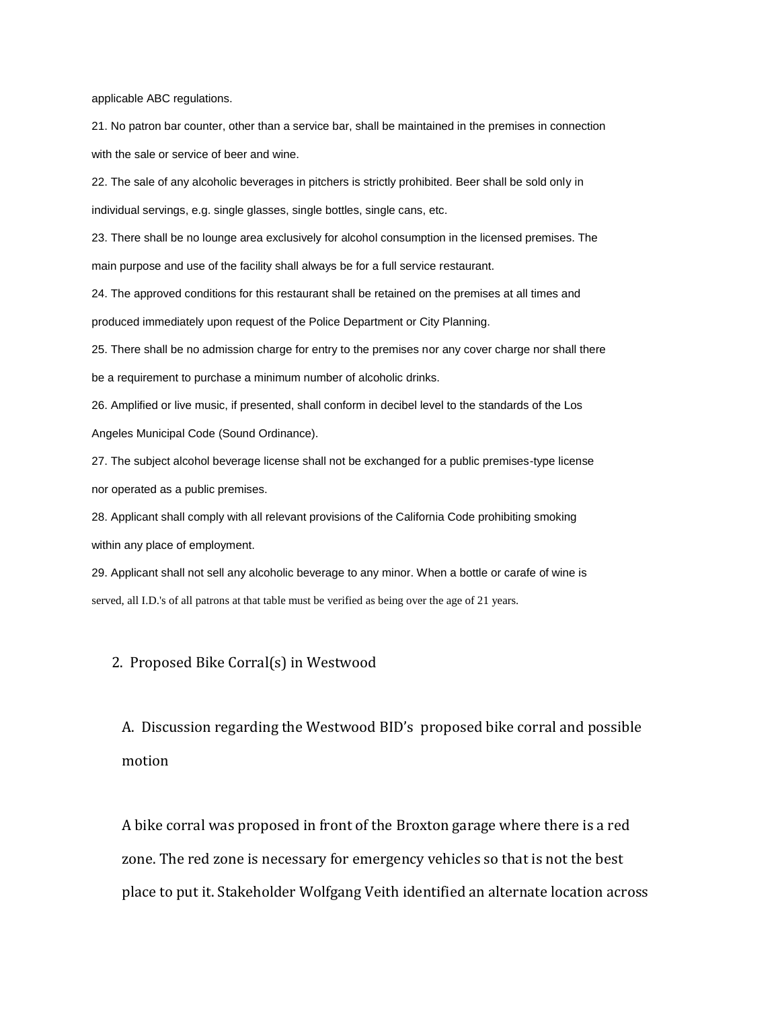applicable ABC regulations.

21. No patron bar counter, other than a service bar, shall be maintained in the premises in connection with the sale or service of beer and wine.

22. The sale of any alcoholic beverages in pitchers is strictly prohibited. Beer shall be sold only in individual servings, e.g. single glasses, single bottles, single cans, etc.

23. There shall be no lounge area exclusively for alcohol consumption in the licensed premises. The main purpose and use of the facility shall always be for a full service restaurant.

24. The approved conditions for this restaurant shall be retained on the premises at all times and produced immediately upon request of the Police Department or City Planning.

25. There shall be no admission charge for entry to the premises nor any cover charge nor shall there be a requirement to purchase a minimum number of alcoholic drinks.

26. Amplified or live music, if presented, shall conform in decibel level to the standards of the Los Angeles Municipal Code (Sound Ordinance).

27. The subject alcohol beverage license shall not be exchanged for a public premises-type license nor operated as a public premises.

28. Applicant shall comply with all relevant provisions of the California Code prohibiting smoking within any place of employment.

29. Applicant shall not sell any alcoholic beverage to any minor. When a bottle or carafe of wine is served, all I.D.'s of all patrons at that table must be verified as being over the age of 21 years.

#### 2. Proposed Bike Corral(s) in Westwood

 A. Discussion regarding the Westwood BID's proposed bike corral and possible motion

 A bike corral was proposed in front of the Broxton garage where there is a red zone. The red zone is necessary for emergency vehicles so that is not the best place to put it. Stakeholder Wolfgang Veith identified an alternate location across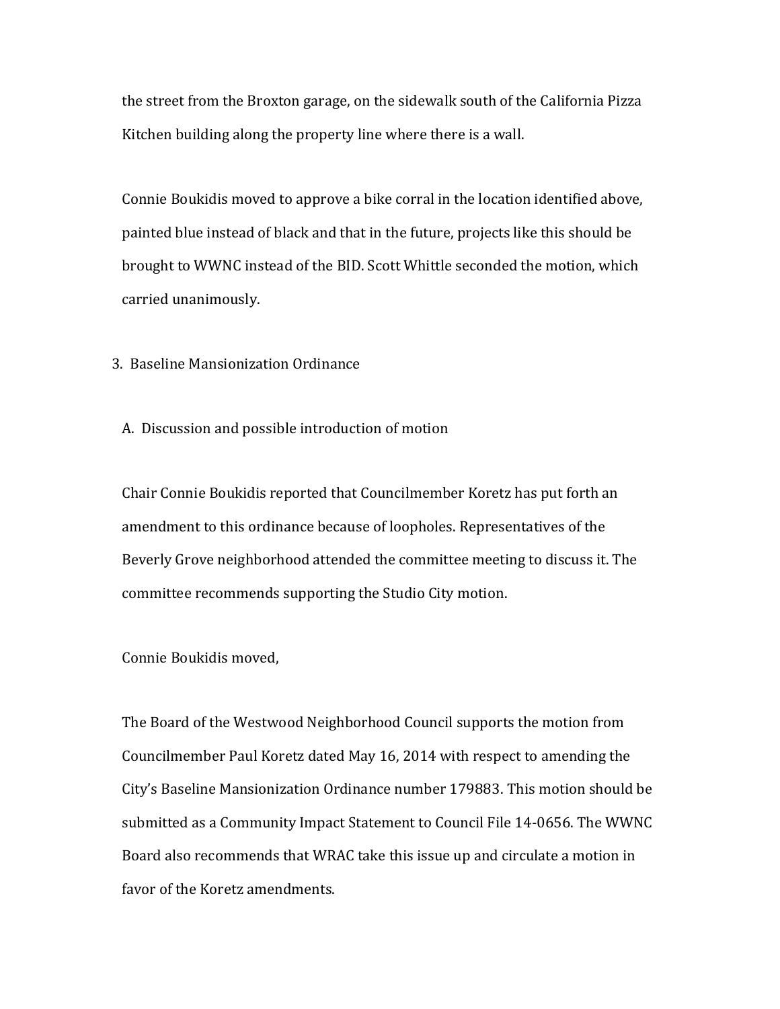the street from the Broxton garage, on the sidewalk south of the California Pizza Kitchen building along the property line where there is a wall.

 Connie Boukidis moved to approve a bike corral in the location identified above, painted blue instead of black and that in the future, projects like this should be brought to WWNC instead of the BID. Scott Whittle seconded the motion, which carried unanimously.

3. Baseline Mansionization Ordinance

A. Discussion and possible introduction of motion

 Chair Connie Boukidis reported that Councilmember Koretz has put forth an amendment to this ordinance because of loopholes. Representatives of the Beverly Grove neighborhood attended the committee meeting to discuss it. The committee recommends supporting the Studio City motion.

Connie Boukidis moved,

 The Board of the Westwood Neighborhood Council supports the motion from Councilmember Paul Koretz dated May 16, 2014 with respect to amending the City's Baseline Mansionization Ordinance number 179883. This motion should be submitted as a Community Impact Statement to Council File 14-0656. The WWNC Board also recommends that WRAC take this issue up and circulate a motion in favor of the Koretz amendments.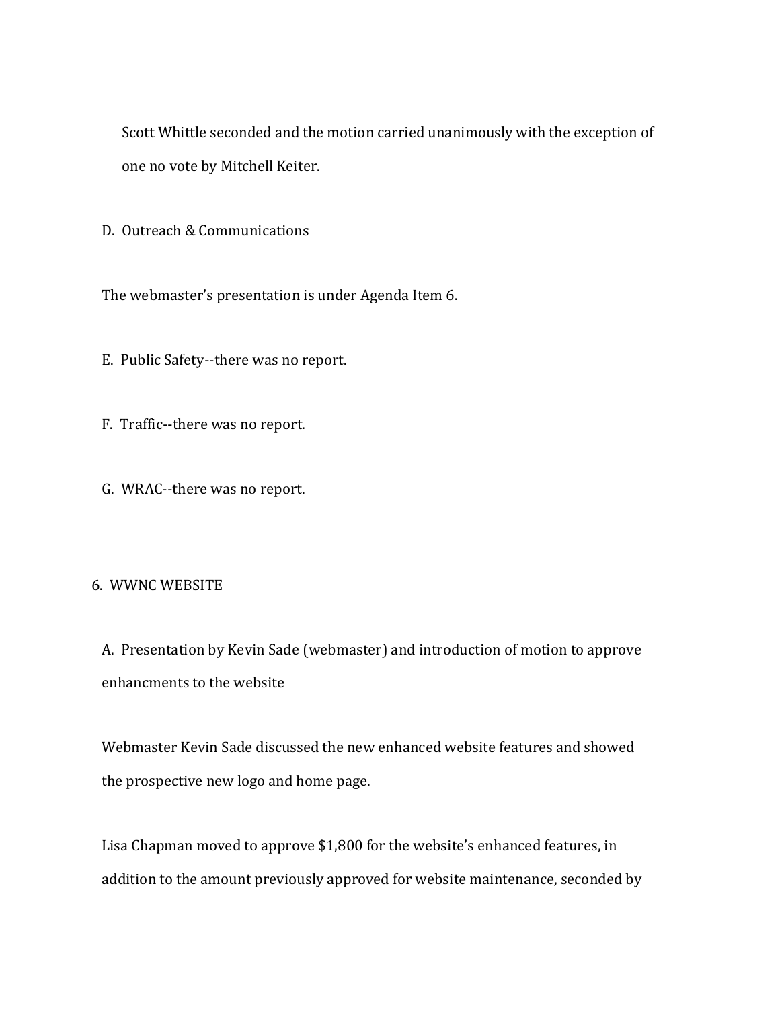Scott Whittle seconded and the motion carried unanimously with the exception of one no vote by Mitchell Keiter.

D. Outreach & Communications

The webmaster's presentation is under Agenda Item 6.

E. Public Safety--there was no report.

F. Traffic--there was no report.

G. WRAC--there was no report.

## 6. WWNC WEBSITE

 A. Presentation by Kevin Sade (webmaster) and introduction of motion to approve enhancments to the website

 Webmaster Kevin Sade discussed the new enhanced website features and showed the prospective new logo and home page.

 Lisa Chapman moved to approve \$1,800 for the website's enhanced features, in addition to the amount previously approved for website maintenance, seconded by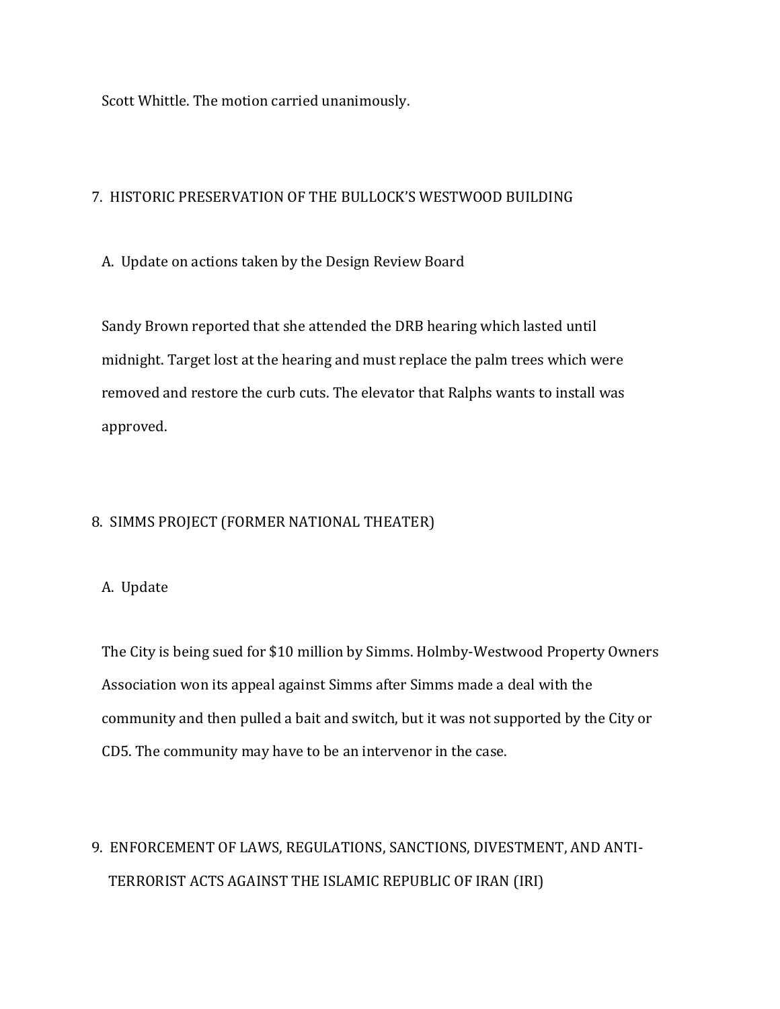Scott Whittle. The motion carried unanimously.

## 7. HISTORIC PRESERVATION OF THE BULLOCK'S WESTWOOD BUILDING

A. Update on actions taken by the Design Review Board

 Sandy Brown reported that she attended the DRB hearing which lasted until midnight. Target lost at the hearing and must replace the palm trees which were removed and restore the curb cuts. The elevator that Ralphs wants to install was approved.

## 8. SIMMS PROJECT (FORMER NATIONAL THEATER)

## A. Update

 The City is being sued for \$10 million by Simms. Holmby-Westwood Property Owners Association won its appeal against Simms after Simms made a deal with the community and then pulled a bait and switch, but it was not supported by the City or CD5. The community may have to be an intervenor in the case.

# 9. ENFORCEMENT OF LAWS, REGULATIONS, SANCTIONS, DIVESTMENT, AND ANTI- TERRORIST ACTS AGAINST THE ISLAMIC REPUBLIC OF IRAN (IRI)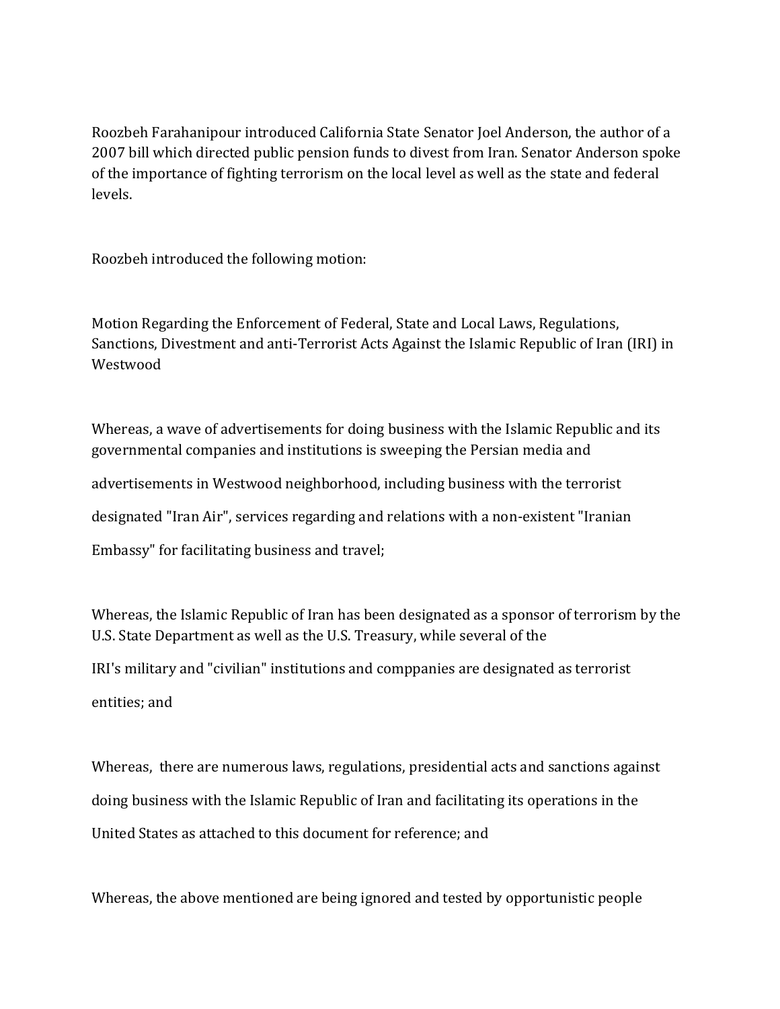Roozbeh Farahanipour introduced California State Senator Joel Anderson, the author of a 2007 bill which directed public pension funds to divest from Iran. Senator Anderson spoke of the importance of fighting terrorism on the local level as well as the state and federal levels.

Roozbeh introduced the following motion:

Motion Regarding the Enforcement of Federal, State and Local Laws, Regulations, Sanctions, Divestment and anti-Terrorist Acts Against the Islamic Republic of Iran (IRI) in Westwood

Whereas, a wave of advertisements for doing business with the Islamic Republic and its governmental companies and institutions is sweeping the Persian media and advertisements in Westwood neighborhood, including business with the terrorist designated "Iran Air", services regarding and relations with a non-existent "Iranian Embassy" for facilitating business and travel;

Whereas, the Islamic Republic of Iran has been designated as a sponsor of terrorism by the U.S. State Department as well as the U.S. Treasury, while several of the IRI's military and "civilian" institutions and comppanies are designated as terrorist entities; and

Whereas, there are numerous laws, regulations, presidential acts and sanctions against doing business with the Islamic Republic of Iran and facilitating its operations in the United States as attached to this document for reference; and

Whereas, the above mentioned are being ignored and tested by opportunistic people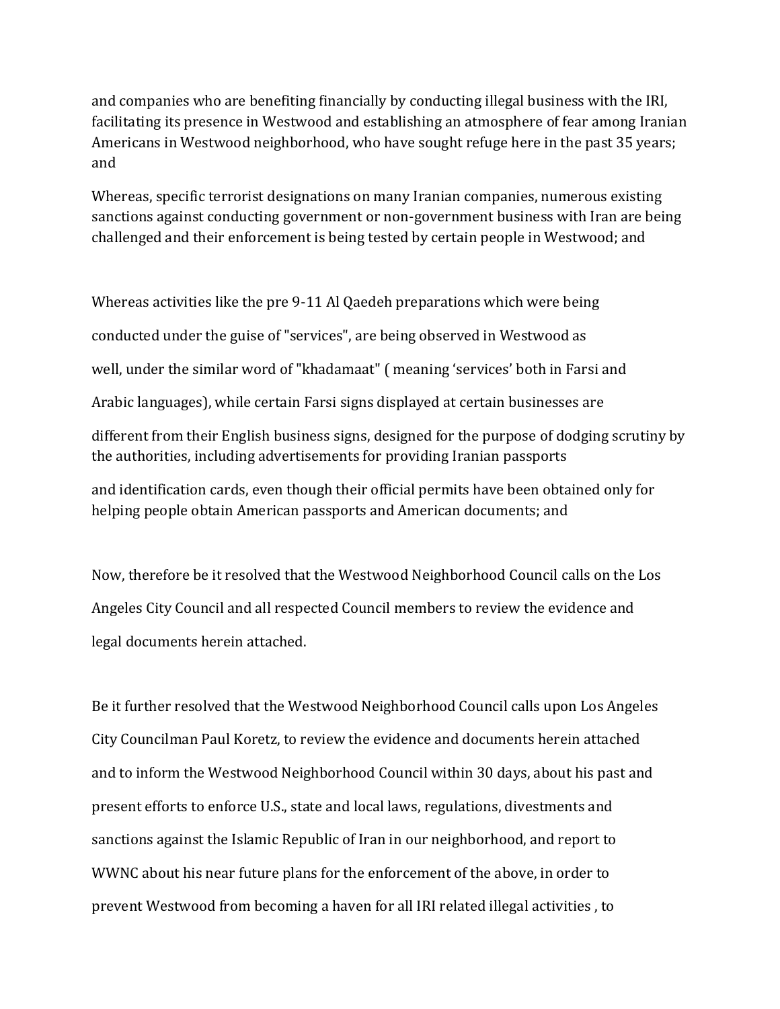and companies who are benefiting financially by conducting illegal business with the IRI, facilitating its presence in Westwood and establishing an atmosphere of fear among Iranian Americans in Westwood neighborhood, who have sought refuge here in the past 35 years; and

Whereas, specific terrorist designations on many Iranian companies, numerous existing sanctions against conducting government or non-government business with Iran are being challenged and their enforcement is being tested by certain people in Westwood; and

Whereas activities like the pre 9-11 Al Qaedeh preparations which were being conducted under the guise of "services", are being observed in Westwood as well, under the similar word of "khadamaat" ( meaning 'services' both in Farsi and Arabic languages), while certain Farsi signs displayed at certain businesses are different from their English business signs, designed for the purpose of dodging scrutiny by the authorities, including advertisements for providing Iranian passports

and identification cards, even though their official permits have been obtained only for helping people obtain American passports and American documents; and

Now, therefore be it resolved that the Westwood Neighborhood Council calls on the Los Angeles City Council and all respected Council members to review the evidence and legal documents herein attached.

Be it further resolved that the Westwood Neighborhood Council calls upon Los Angeles City Councilman Paul Koretz, to review the evidence and documents herein attached and to inform the Westwood Neighborhood Council within 30 days, about his past and present efforts to enforce U.S., state and local laws, regulations, divestments and sanctions against the Islamic Republic of Iran in our neighborhood, and report to WWNC about his near future plans for the enforcement of the above, in order to prevent Westwood from becoming a haven for all IRI related illegal activities , to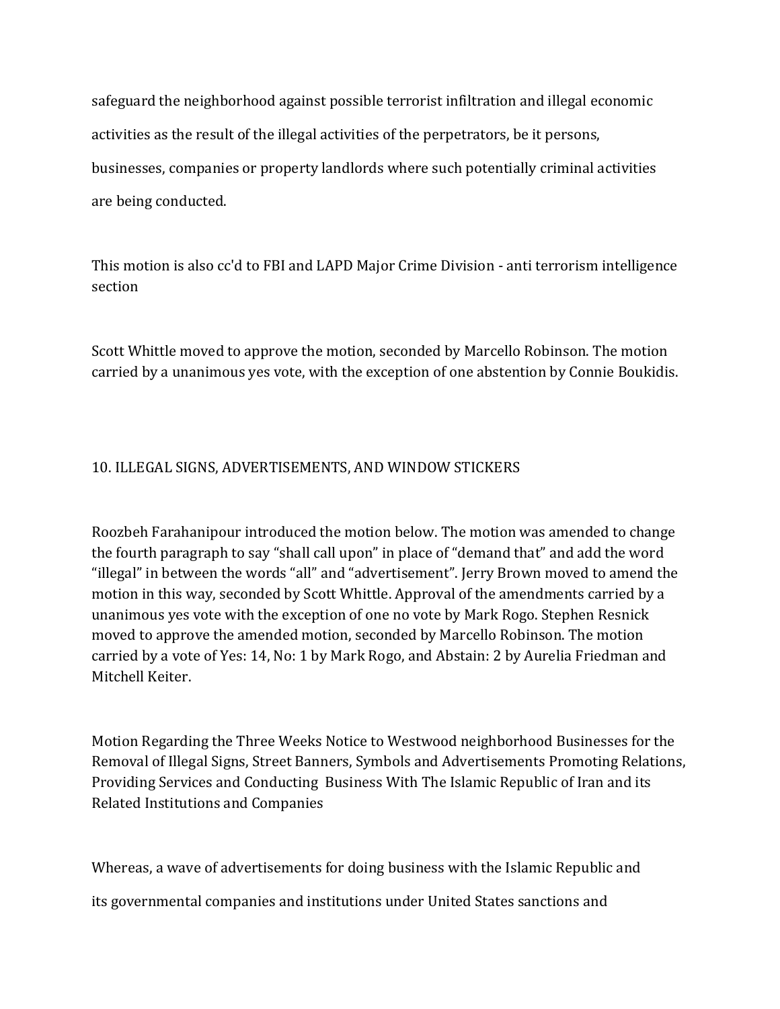safeguard the neighborhood against possible terrorist infiltration and illegal economic activities as the result of the illegal activities of the perpetrators, be it persons, businesses, companies or property landlords where such potentially criminal activities are being conducted.

This motion is also cc'd to FBI and LAPD Major Crime Division - anti terrorism intelligence section

Scott Whittle moved to approve the motion, seconded by Marcello Robinson. The motion carried by a unanimous yes vote, with the exception of one abstention by Connie Boukidis.

# 10. ILLEGAL SIGNS, ADVERTISEMENTS, AND WINDOW STICKERS

Roozbeh Farahanipour introduced the motion below. The motion was amended to change the fourth paragraph to say "shall call upon" in place of "demand that" and add the word "illegal" in between the words "all" and "advertisement". Jerry Brown moved to amend the motion in this way, seconded by Scott Whittle. Approval of the amendments carried by a unanimous yes vote with the exception of one no vote by Mark Rogo. Stephen Resnick moved to approve the amended motion, seconded by Marcello Robinson. The motion carried by a vote of Yes: 14, No: 1 by Mark Rogo, and Abstain: 2 by Aurelia Friedman and Mitchell Keiter.

Motion Regarding the Three Weeks Notice to Westwood neighborhood Businesses for the Removal of Illegal Signs, Street Banners, Symbols and Advertisements Promoting Relations, Providing Services and Conducting Business With The Islamic Republic of Iran and its Related Institutions and Companies

Whereas, a wave of advertisements for doing business with the Islamic Republic and its governmental companies and institutions under United States sanctions and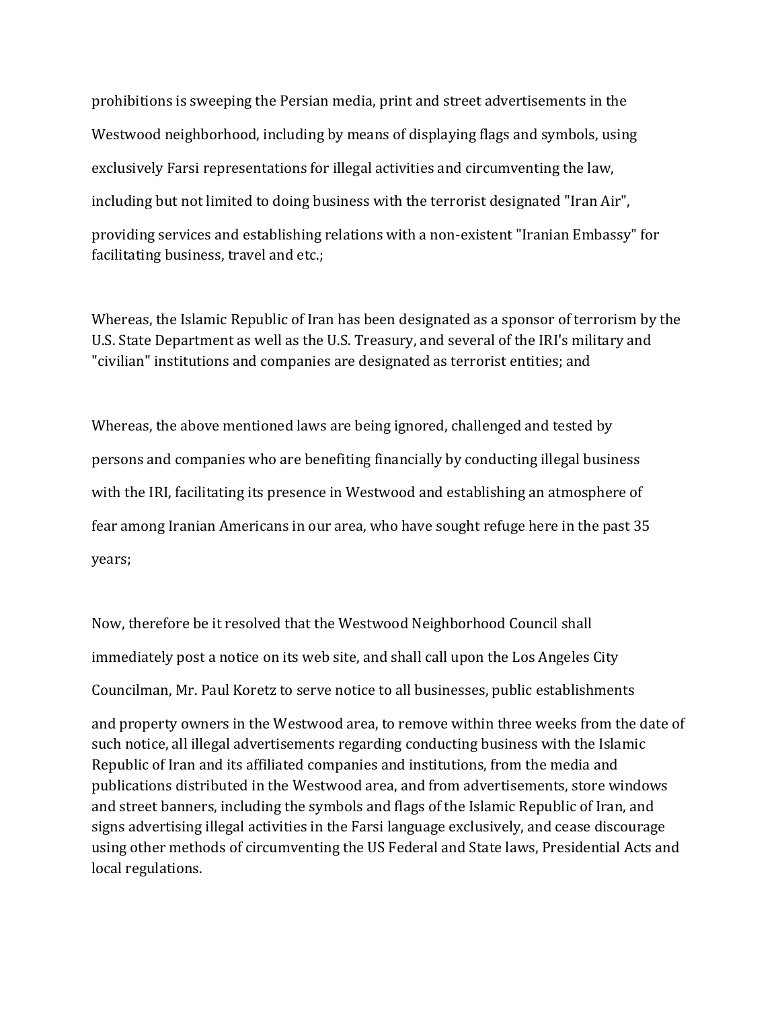prohibitions is sweeping the Persian media, print and street advertisements in the Westwood neighborhood, including by means of displaying flags and symbols, using exclusively Farsi representations for illegal activities and circumventing the law, including but not limited to doing business with the terrorist designated "Iran Air", providing services and establishing relations with a non-existent "Iranian Embassy" for facilitating business, travel and etc.;

Whereas, the Islamic Republic of Iran has been designated as a sponsor of terrorism by the U.S. State Department as well as the U.S. Treasury, and several of the IRI's military and "civilian" institutions and companies are designated as terrorist entities; and

Whereas, the above mentioned laws are being ignored, challenged and tested by persons and companies who are benefiting financially by conducting illegal business with the IRI, facilitating its presence in Westwood and establishing an atmosphere of fear among Iranian Americans in our area, who have sought refuge here in the past 35 years;

Now, therefore be it resolved that the Westwood Neighborhood Council shall immediately post a notice on its web site, and shall call upon the Los Angeles City Councilman, Mr. Paul Koretz to serve notice to all businesses, public establishments

and property owners in the Westwood area, to remove within three weeks from the date of such notice, all illegal advertisements regarding conducting business with the Islamic Republic of Iran and its affiliated companies and institutions, from the media and publications distributed in the Westwood area, and from advertisements, store windows and street banners, including the symbols and flags of the Islamic Republic of Iran, and signs advertising illegal activities in the Farsi language exclusively, and cease discourage using other methods of circumventing the US Federal and State laws, Presidential Acts and local regulations.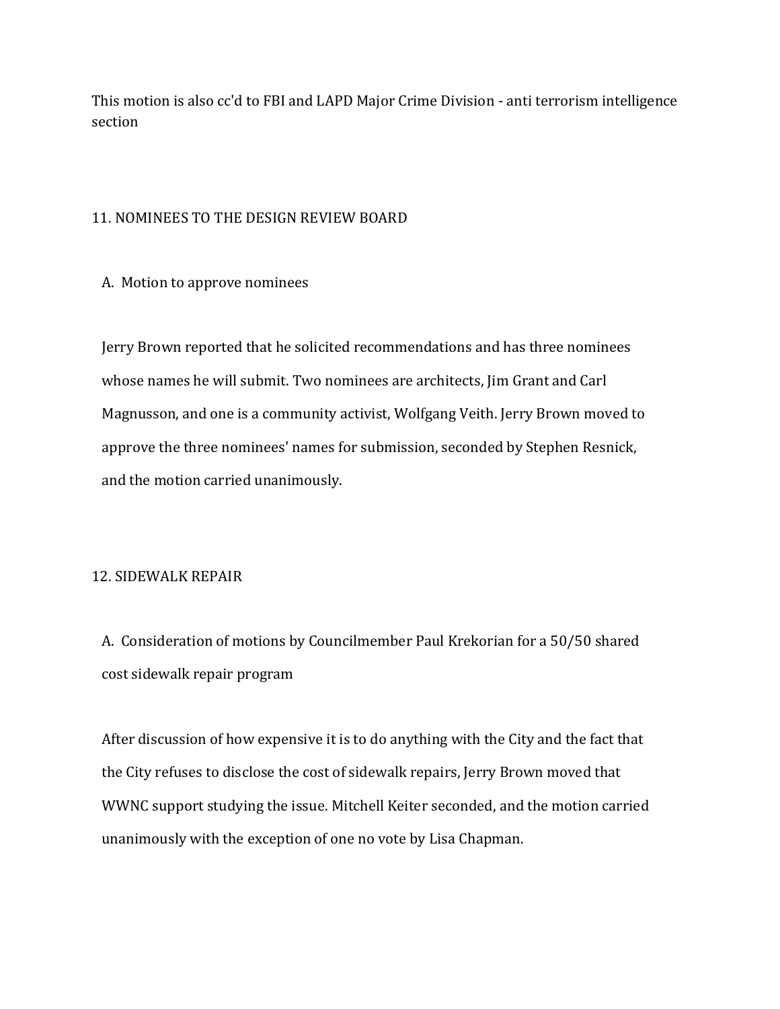This motion is also cc'd to FBI and LAPD Major Crime Division - anti terrorism intelligence section

## 11. NOMINEES TO THE DESIGN REVIEW BOARD

#### A. Motion to approve nominees

 Jerry Brown reported that he solicited recommendations and has three nominees whose names he will submit. Two nominees are architects, Jim Grant and Carl Magnusson, and one is a community activist, Wolfgang Veith. Jerry Brown moved to approve the three nominees' names for submission, seconded by Stephen Resnick, and the motion carried unanimously.

#### 12. SIDEWALK REPAIR

 A. Consideration of motions by Councilmember Paul Krekorian for a 50/50 shared cost sidewalk repair program

 After discussion of how expensive it is to do anything with the City and the fact that the City refuses to disclose the cost of sidewalk repairs, Jerry Brown moved that WWNC support studying the issue. Mitchell Keiter seconded, and the motion carried unanimously with the exception of one no vote by Lisa Chapman.